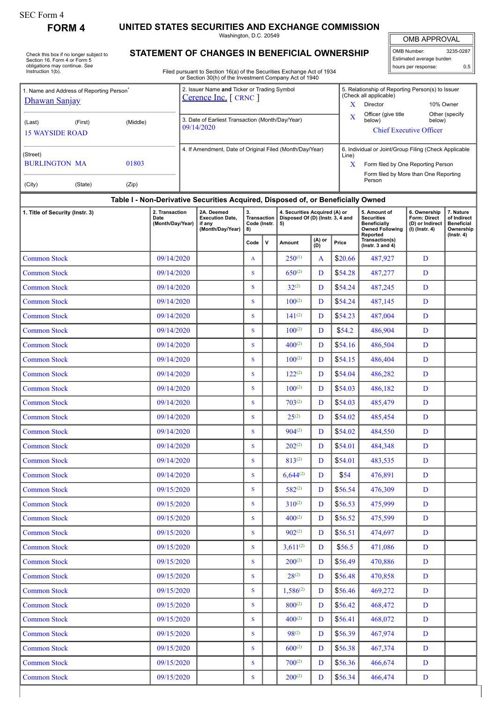| SEC Form 4 |  |
|------------|--|
| -^---      |  |

## **FORM 4 UNITED STATES SECURITIES AND EXCHANGE COMMISSION**

Washington, D.C. 20549

Check this box if no longer subject to Section 16. Form 4 or Form 5 obligations may continue. *See* Instruction 1(b).

## **STATEMENT OF CHANGES IN BENEFICIAL OWNERSHIP**

Filed pursuant to Section 16(a) of the Securities Exchange Act of 1934 or Section 30(h) of the Investment Company Act of 1940

| <b>OMB APPROVAL</b> |  |
|---------------------|--|
|                     |  |
|                     |  |

OMB Number: 3235-0287 Estimated average burden hours per response: 0.5

| 1. Name and Address of Reporting Person<br>Dhawan Sanjay | 2. Issuer Name and Ticker or Trading Symbol<br>Cerence Inc. [ CRNC ] |                                                                                  |                                         |             | X                                                                       | 5. Relationship of Reporting Person(s) to Issuer<br>(Check all applicable)<br>Director<br>10% Owner |         |                                                                                    |                                                                     |                                                            |  |  |  |
|----------------------------------------------------------|----------------------------------------------------------------------|----------------------------------------------------------------------------------|-----------------------------------------|-------------|-------------------------------------------------------------------------|-----------------------------------------------------------------------------------------------------|---------|------------------------------------------------------------------------------------|---------------------------------------------------------------------|------------------------------------------------------------|--|--|--|
| (First)<br>(Middle)<br>(Last)<br><b>15 WAYSIDE ROAD</b>  | 3. Date of Earliest Transaction (Month/Day/Year)<br>09/14/2020       |                                                                                  |                                         |             | X                                                                       | Officer (give title<br>Other (specify<br>below)<br>below)<br><b>Chief Executive Officer</b>         |         |                                                                                    |                                                                     |                                                            |  |  |  |
| (Street)                                                 |                                                                      | 4. If Amendment, Date of Original Filed (Month/Day/Year)                         |                                         |             |                                                                         |                                                                                                     | Line)   | 6. Individual or Joint/Group Filing (Check Applicable                              |                                                                     |                                                            |  |  |  |
| <b>BURLINGTON MA</b><br>01803                            |                                                                      |                                                                                  |                                         |             |                                                                         |                                                                                                     | X       | Form filed by One Reporting Person                                                 |                                                                     |                                                            |  |  |  |
| (State)<br>(Zip)<br>(City)                               |                                                                      |                                                                                  |                                         |             |                                                                         |                                                                                                     |         | Form filed by More than One Reporting<br>Person                                    |                                                                     |                                                            |  |  |  |
|                                                          |                                                                      | Table I - Non-Derivative Securities Acquired, Disposed of, or Beneficially Owned |                                         |             |                                                                         |                                                                                                     |         |                                                                                    |                                                                     |                                                            |  |  |  |
| 1. Title of Security (Instr. 3)                          | 2. Transaction<br>Date<br>(Month/Day/Year)                           | 2A. Deemed<br><b>Execution Date,</b><br>if any<br>(Month/Day/Year)               | 3.<br>Transaction<br>Code (Instr.<br>8) |             | 4. Securities Acquired (A) or<br>Disposed Of (D) (Instr. 3, 4 and<br>5) |                                                                                                     |         | 5. Amount of<br><b>Securities</b><br><b>Beneficially</b><br><b>Owned Following</b> | 6. Ownership<br>Form: Direct<br>(D) or Indirect<br>$(I)$ (lnstr. 4) | 7. Nature<br>of Indirect<br><b>Beneficial</b><br>Ownership |  |  |  |
|                                                          |                                                                      |                                                                                  | Code                                    | $\mathbf v$ | Amount                                                                  | (A) or<br>(D)                                                                                       | Price   | Reported<br>Transaction(s)<br>( $lnstr. 3 and 4$ )                                 |                                                                     | $($ Instr. 4 $)$                                           |  |  |  |
| <b>Common Stock</b>                                      | 09/14/2020                                                           |                                                                                  | A                                       |             | $250^{(1)}$                                                             | A                                                                                                   | \$20.66 | 487,927                                                                            | D                                                                   |                                                            |  |  |  |
| <b>Common Stock</b>                                      | 09/14/2020                                                           |                                                                                  | S                                       |             | $650^{(2)}$                                                             | D                                                                                                   | \$54.28 | 487,277                                                                            | D                                                                   |                                                            |  |  |  |
| <b>Common Stock</b>                                      | 09/14/2020                                                           |                                                                                  | S                                       |             | $32^{(2)}$                                                              | D                                                                                                   | \$54.24 | 487,245                                                                            | D                                                                   |                                                            |  |  |  |
| <b>Common Stock</b>                                      | 09/14/2020                                                           |                                                                                  | S                                       |             | $100^{(2)}$                                                             | D                                                                                                   | \$54.24 | 487,145                                                                            | D                                                                   |                                                            |  |  |  |
| <b>Common Stock</b>                                      | 09/14/2020                                                           |                                                                                  | S                                       |             | $141^{(2)}$                                                             | D                                                                                                   | \$54.23 | 487,004                                                                            | D                                                                   |                                                            |  |  |  |
| <b>Common Stock</b>                                      | 09/14/2020                                                           |                                                                                  | S                                       |             | $100^{(2)}$                                                             | D                                                                                                   | \$54.2  | 486,904                                                                            | D                                                                   |                                                            |  |  |  |
| <b>Common Stock</b>                                      | 09/14/2020                                                           |                                                                                  | S                                       |             | $400^{(2)}$                                                             | D                                                                                                   | \$54.16 | 486,504                                                                            | D                                                                   |                                                            |  |  |  |
| <b>Common Stock</b>                                      | 09/14/2020                                                           |                                                                                  | S                                       |             | $100^{(2)}$                                                             | D                                                                                                   | \$54.15 | 486,404                                                                            | D                                                                   |                                                            |  |  |  |
| <b>Common Stock</b>                                      | 09/14/2020                                                           |                                                                                  | S                                       |             | $122^{(2)}$                                                             | D                                                                                                   | \$54.04 | 486,282                                                                            | D                                                                   |                                                            |  |  |  |
| <b>Common Stock</b>                                      | 09/14/2020                                                           |                                                                                  | $\mathbf S$                             |             | $100^{(2)}$                                                             | D                                                                                                   | \$54.03 | 486,182                                                                            | D                                                                   |                                                            |  |  |  |
| <b>Common Stock</b>                                      | 09/14/2020                                                           |                                                                                  | S                                       |             | $703^{(2)}$                                                             | D                                                                                                   | \$54.03 | 485,479                                                                            | D                                                                   |                                                            |  |  |  |
| <b>Common Stock</b>                                      | 09/14/2020                                                           |                                                                                  | S                                       |             | $25^{(2)}$                                                              | D                                                                                                   | \$54.02 | 485,454                                                                            | D                                                                   |                                                            |  |  |  |
| <b>Common Stock</b>                                      | 09/14/2020                                                           |                                                                                  | S                                       |             | $904^{(2)}$                                                             | D                                                                                                   | \$54.02 | 484,550                                                                            | D                                                                   |                                                            |  |  |  |
| <b>Common Stock</b>                                      | 09/14/2020                                                           |                                                                                  | S                                       |             | $202^{(2)}$                                                             | D                                                                                                   | \$54.01 | 484,348                                                                            | D                                                                   |                                                            |  |  |  |
| <b>Common Stock</b>                                      | 09/14/2020                                                           |                                                                                  | S                                       |             | $813^{(2)}$                                                             | D                                                                                                   | \$54.01 | 483,535                                                                            | D                                                                   |                                                            |  |  |  |
| <b>Common Stock</b>                                      | 09/14/2020                                                           |                                                                                  | S                                       |             | $6,644^{(2)}$                                                           | D                                                                                                   | \$54    | 476,891                                                                            | D                                                                   |                                                            |  |  |  |
| <b>Common Stock</b>                                      | 09/15/2020                                                           |                                                                                  | S                                       |             | $582^{(2)}$                                                             | D                                                                                                   | \$56.54 | 476,309                                                                            | D                                                                   |                                                            |  |  |  |
| <b>Common Stock</b>                                      | 09/15/2020                                                           |                                                                                  | S                                       |             | $310^{(2)}$                                                             | D                                                                                                   | \$56.53 | 475,999                                                                            | D                                                                   |                                                            |  |  |  |
| <b>Common Stock</b>                                      | 09/15/2020                                                           |                                                                                  | S                                       |             | $400^{(2)}$                                                             | D                                                                                                   | \$56.52 | 475,599                                                                            | D                                                                   |                                                            |  |  |  |
| <b>Common Stock</b>                                      | 09/15/2020                                                           |                                                                                  | ${\bf S}$                               |             | $902^{(2)}$                                                             | D                                                                                                   | \$56.51 | 474,697                                                                            | D                                                                   |                                                            |  |  |  |
| <b>Common Stock</b>                                      | 09/15/2020                                                           |                                                                                  | S                                       |             | $3,611^{(2)}$                                                           | D                                                                                                   | \$56.5  | 471,086                                                                            | D                                                                   |                                                            |  |  |  |
| <b>Common Stock</b>                                      | 09/15/2020                                                           |                                                                                  | S                                       |             | $200^{(2)}$                                                             | D                                                                                                   | \$56.49 | 470,886                                                                            | D                                                                   |                                                            |  |  |  |
| <b>Common Stock</b>                                      | 09/15/2020                                                           |                                                                                  | S                                       |             | $28^{(2)}$                                                              | D                                                                                                   | \$56.48 | 470,858                                                                            | D                                                                   |                                                            |  |  |  |
| <b>Common Stock</b>                                      | 09/15/2020                                                           |                                                                                  | S                                       |             | $1,586^{(2)}$                                                           | D                                                                                                   | \$56.46 | 469,272                                                                            | D                                                                   |                                                            |  |  |  |
| <b>Common Stock</b>                                      | 09/15/2020                                                           |                                                                                  | S                                       |             | $800^{(2)}$                                                             | D                                                                                                   | \$56.42 | 468,472                                                                            | D                                                                   |                                                            |  |  |  |
| <b>Common Stock</b>                                      | 09/15/2020                                                           |                                                                                  | S                                       |             | $400^{(2)}$                                                             | D                                                                                                   | \$56.41 | 468,072                                                                            | D                                                                   |                                                            |  |  |  |
| <b>Common Stock</b>                                      | 09/15/2020                                                           |                                                                                  | S                                       |             | $98^{(2)}$                                                              | D                                                                                                   | \$56.39 | 467,974                                                                            | D                                                                   |                                                            |  |  |  |
| <b>Common Stock</b>                                      | 09/15/2020                                                           |                                                                                  | S                                       |             | $600^{(2)}$                                                             | D                                                                                                   | \$56.38 | 467,374                                                                            | D                                                                   |                                                            |  |  |  |
| <b>Common Stock</b>                                      | 09/15/2020                                                           |                                                                                  | ${\bf S}$                               |             | $700^{(2)}$                                                             | D                                                                                                   | \$56.36 | 466,674                                                                            | D                                                                   |                                                            |  |  |  |
| <b>Common Stock</b>                                      | 09/15/2020                                                           |                                                                                  | ${\bf S}$                               |             | $200^{(2)}$                                                             | D                                                                                                   | \$56.34 | 466,474                                                                            | D                                                                   |                                                            |  |  |  |